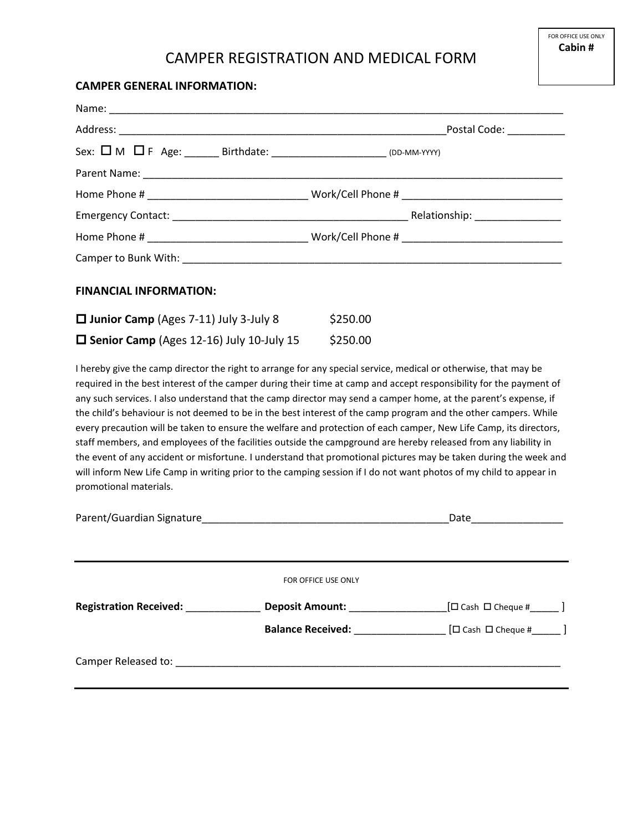## CAMPER REGISTRATION AND MEDICAL FORM

## **CAMPER GENERAL INFORMATION:**

| Sex: $\square$ M $\square$ F Age: _______ Birthdate: _______________________ (DD-MM-YYYY) |          |  |
|-------------------------------------------------------------------------------------------|----------|--|
|                                                                                           |          |  |
|                                                                                           |          |  |
|                                                                                           |          |  |
|                                                                                           |          |  |
|                                                                                           |          |  |
| <b>FINANCIAL INFORMATION:</b>                                                             |          |  |
| $\Box$ Junior Camp (Ages 7-11) July 3-July 8                                              | \$250.00 |  |
| $\square$ Senior Camp (Ages 12-16) July 10-July 15                                        | \$250.00 |  |

I hereby give the camp director the right to arrange for any special service, medical or otherwise, that may be required in the best interest of the camper during their time at camp and accept responsibility for the payment of any such services. I also understand that the camp director may send a camper home, at the parent's expense, if the child's behaviour is not deemed to be in the best interest of the camp program and the other campers. While every precaution will be taken to ensure the welfare and protection of each camper, New Life Camp, its directors, staff members, and employees of the facilities outside the campground are hereby released from any liability in the event of any accident or misfortune. I understand that promotional pictures may be taken during the week and will inform New Life Camp in writing prior to the camping session if I do not want photos of my child to appear in promotional materials.

|                               |                                            | Date<br>the company of the company of |  |
|-------------------------------|--------------------------------------------|---------------------------------------|--|
|                               |                                            |                                       |  |
|                               | FOR OFFICE USE ONLY                        |                                       |  |
| <b>Registration Received:</b> | <b>Deposit Amount:</b>                     | $[\Box$ Cash $\Box$ Cheque # $]$      |  |
|                               | <b>Balance Received: Balance Received:</b> | $\Box$ Cash $\Box$ Cheque #           |  |
| Camper Released to:           |                                            |                                       |  |
|                               |                                            |                                       |  |